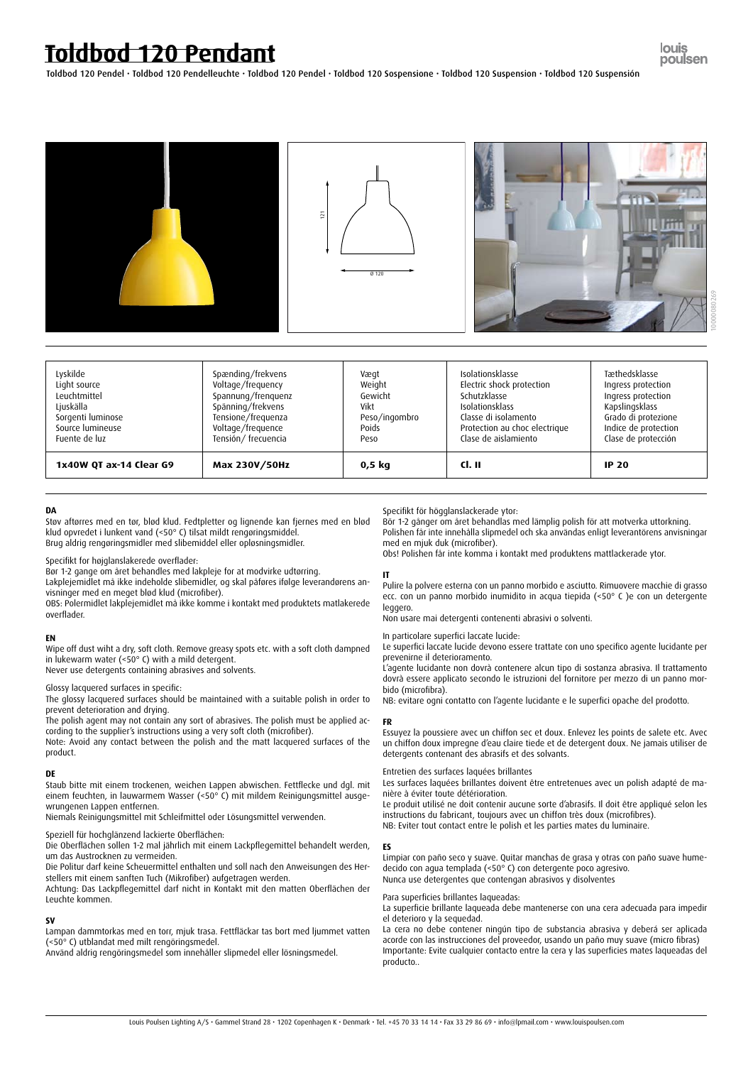| Lyskilde                | Spænding/frekvens   | Vægt          | <b>Isolationsklasse</b>       | Tæthedsklasse        |
|-------------------------|---------------------|---------------|-------------------------------|----------------------|
| Light source            | Voltage/frequency   | Weight        | Electric shock protection     | Ingress protection   |
| Leuchtmittel            | Spannung/frenquenz  | Gewicht       | Schutzklasse                  | Ingress protection   |
| Ljuskälla               | Spänning/frekvens   | Vikt          | <b>Isolationsklass</b>        | Kapslingsklass       |
| Sorgenti luminose       | Tensione/frequenza  | Peso/ingombro | Classe di isolamento          | Grado di protezione  |
| Source lumineuse        | Voltage/frequence   | Poids         | Protection au choc electrique | Indice de protection |
| Fuente de luz           | Tensión/ frecuencia | Peso          | Clase de aislamiento          | Clase de protección  |
| 1x40W QT ax-14 Clear G9 | Max 230V/50Hz       | $0,5$ kg      | Cl. II                        | <b>IP 20</b>         |

# **Toldbod 120 Pendant**

louis poulsen

Toldbod 120 Pendel • Toldbod 120 Pendelleuchte • Toldbod 120 Pendel • Toldbod 120 Sospensione • Toldbod 120 Suspension • Toldbod 120 Suspensión

#### **DA**

 $\overline{a}$ 

Støv aftørres med en tør, blød klud. Fedtpletter og lignende kan fjernes med en blød klud opvredet i lunkent vand (<50° C) tilsat mildt rengøringsmiddel. Brug aldrig rengøringsmidler med slibemiddel eller opløsningsmidler.

Specifikt for højglanslakerede overflader:

Bør 1-2 gange om året behandles med lakpleje for at modvirke udtørring.

Lakplejemidlet må ikke indeholde slibemidler, og skal påføres ifølge leverandørens anvisninger med en meget blød klud (microfiber).

OBS: Polermidlet lakplejemidlet må ikke komme i kontakt med produktets matlakerede overflader.

# **EN**

Wipe off dust wiht a dry, soft cloth. Remove greasy spots etc. with a soft cloth dampned in lukewarm water (<50° C) with a mild detergent.

Never use detergents containing abrasives and solvents.

Glossy lacquered surfaces in specific:

The glossy lacquered surfaces should be maintained with a suitable polish in order to prevent deterioration and drying.

The polish agent may not contain any sort of abrasives. The polish must be applied according to the supplier's instructions using a very soft cloth (microfiber).

Note: Avoid any contact between the polish and the matt lacquered surfaces of the product.

# **DE**

Staub bitte mit einem trockenen, weichen Lappen abwischen. Fettflecke und dgl. mit einem feuchten, in lauwarmem Wasser (<50° C) mit mildem Reinigungsmittel ausge-

wrungenen Lappen entfernen.

Niemals Reinigungsmittel mit Schleifmittel oder Lösungsmittel verwenden.

#### Speziell für hochglänzend lackierte Oberflächen:

Die Oberflächen sollen 1-2 mal jährlich mit einem Lackpflegemittel behandelt werden, um das Austrocknen zu vermeiden.

Die Politur darf keine Scheuermittel enthalten und soll nach den Anweisungen des Herstellers mit einem sanften Tuch (Mikrofiber) aufgetragen werden.

Achtung: Das Lackpflegemittel darf nicht in Kontakt mit den matten Oberflächen der Leuchte kommen.

## **SV**

Lampan dammtorkas med en torr, mjuk trasa. Fettfläckar tas bort med ljummet vatten (<50° C) utblandat med milt rengöringsmedel.

Använd aldrig rengöringsmedel som innehåller slipmedel eller lösningsmedel.

## Specifikt för högglanslackerade ytor:

Bör 1-2 gånger om året behandlas med lämplig polish för att motverka uttorkning. Polishen får inte innehålla slipmedel och ska användas enligt leverantörens anvisningar med en mjuk duk (microfiber).

Obs! Polishen får inte komma i kontakt med produktens mattlackerade ytor.

# **IT**

Pulire la polvere esterna con un panno morbido e asciutto. Rimuovere macchie di grasso ecc. con un panno morbido inumidito in acqua tiepida (<50° C )e con un detergente leggero.

Non usare mai detergenti contenenti abrasivi o solventi.

In particolare superfici laccate lucide:

Le superfici laccate lucide devono essere trattate con uno specifico agente lucidante per prevenirne il deterioramento.

L'agente lucidante non dovrà contenere alcun tipo di sostanza abrasiva. Il trattamento dovrà essere applicato secondo le istruzioni del fornitore per mezzo di un panno morbido (microfibra).

NB: evitare ogni contatto con l'agente lucidante e le superfici opache del prodotto.

#### **FR**

Essuyez la poussiere avec un chiffon sec et doux. Enlevez les points de salete etc. Avec un chiffon doux impregne d'eau claire tiede et de detergent doux. Ne jamais utiliser de detergents contenant des abrasifs et des solvants.

#### Entretien des surfaces laquées brillantes

Les surfaces laquées brillantes doivent être entretenues avec un polish adapté de manière à éviter toute détérioration.

Le produit utilisé ne doit contenir aucune sorte d'abrasifs. Il doit être appliqué selon les instructions du fabricant, toujours avec un chiffon très doux (microfibres). NB: Eviter tout contact entre le polish et les parties mates du luminaire.

#### **ES**

Limpiar con paño seco y suave. Quitar manchas de grasa y otras con paño suave humedecido con agua templada (<50° C) con detergente poco agresivo. Nunca use detergentes que contengan abrasivos y disolventes

Para superficies brillantes laqueadas:

La superficie brillante laqueada debe mantenerse con una cera adecuada para impedir el deterioro y la sequedad.

La cera no debe contener ningún tipo de substancia abrasiva y deberá ser aplicada acorde con las instrucciones del proveedor, usando un paño muy suave (micro fibras) Importante: Evite cualquier contacto entre la cera y las superficies mates laqueadas del producto..



Louis Poulsen Lighting A/S • Gammel Strand 28 • 1202 Copenhagen K • Denmark • Tel. +45 70 33 14 14 • Fax 33 29 86 69 • info@lpmail.com • www.louispoulsen.com